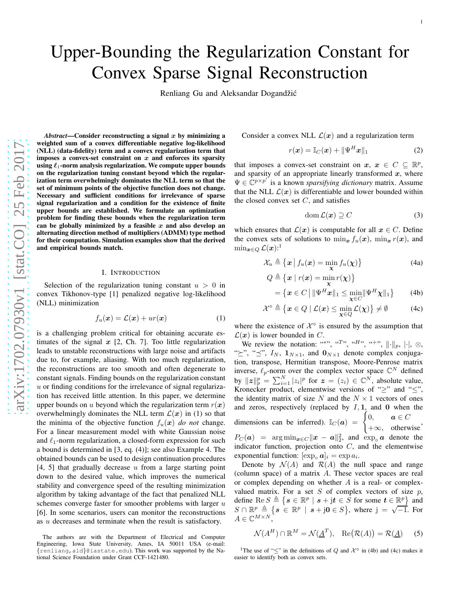# Upper-Bounding the Regularization Constant for Convex Sparse Signal Reconstruction

Renliang Gu and Aleksandar Dogandžić

 $Abstract$ —Consider reconstructing a signal  $x$  by minimizing a weighted sum of a convex differentiable negative log-likelihood (NLL) (data-fidelity) term and a convex regularization term that imposes a convex-set constraint on  $x$  and enforces its sparsity using  $\ell_1$ -norm analysis regularization. We compute upper bounds on the regularization tuning constant beyond which the regularization term overwhelmingly dominates the NLL term so that the set of minimum points of the objective function does not change. Necessary and sufficient conditions for irrelevance of sparse signal regularization and a condition for the existence of finite upper bounds are established. We formulate an optimization problem for finding these bounds when the regularization ter m can be globally minimized by a feasible  $x$  and also develop an alternating direction method of multipliers (ADMM) type method for their computation. Simulation examples show that the derived and empirical bounds match.

#### I. INTRODUCTION

Selection of the regularization tuning constant  $u > 0$  in convex Tikhonov-type [1] penalized negative log-likelihood (NLL) minimization

$$
f_u(\boldsymbol{x}) = \mathcal{L}(\boldsymbol{x}) + ur(\boldsymbol{x}) \tag{1}
$$

is a challenging problem critical for obtaining accurate estimates of the signal  $x$  [2, Ch. 7]. Too little regularization leads to unstable reconstructions with large noise and artifacts due to, for example, aliasing. With too much regularization , the reconstructions are too smooth and often degenerate to constant signals. Finding bounds on the regularization constant  $u$  or finding conditions for the irrelevance of signal regularization has received little attention. In this paper, we determine upper bounds on u beyond which the regularization term  $r(\boldsymbol{x})$ overwhelmingly dominates the NLL term  $\mathcal{L}(x)$  in (1) so that the minima of the objective function  $f_u(x)$  *do not* change. For a linear measurement model with white Gaussian noise and  $\ell_1$ -norm regularization, a closed-form expression for such a bound is determined in [3, eq. (4)]; see also Example 4. The obtained bounds can be used to design continuation procedures  $[4, 5]$  that gradually decrease  $u$  from a large starting point down to the desired value, which improves the numerical stability and convergence speed of the resulting minimization algorithm by taking advantage of the fact that penalized NLL schemes converge faster for smoother problems with larger  $u$ [6]. In some scenarios, users can monitor the reconstructions as u decreases and terminate when the result is satisfactory.

Consider a convex NLL  $\mathcal{L}(\boldsymbol{x})$  and a regularization term

$$
r(\boldsymbol{x}) = \mathbb{I}_C(\boldsymbol{x}) + \|\Psi^H \boldsymbol{x}\|_1 \tag{2}
$$

that imposes a convex-set constraint on  $x, x \in C \subseteq \mathbb{R}^p$ , and sparsity of an appropriate linearly transformed  $x$ , where  $\Psi \in \mathbb{C}^{p \times p'}$  is a known *sparsifying dictionary* matrix. Assume that the NLL  $\mathcal{L}(x)$  is differentiable and lower bounded within the closed convex set  $C$ , and satisfies

$$
\operatorname{dom}\mathcal{L}(\boldsymbol{x})\supseteq C\tag{3}
$$

which ensures that  $\mathcal{L}(\boldsymbol{x})$  is computable for all  $\boldsymbol{x} \in C$ . Define the convex sets of solutions to  $\min_{x} f_u(x)$ ,  $\min_{x} r(x)$ , and  $\min_{\bm{x}\in Q}\mathcal{L}(\bm{x})$ :<sup>1</sup>

$$
\mathcal{X}_u \triangleq \left\{ \boldsymbol{x} \mid f_u(\boldsymbol{x}) = \min_{\boldsymbol{\chi}} f_u(\boldsymbol{\chi}) \right\} \tag{4a}
$$

$$
Q \triangleq \{ \mathbf{x} \mid r(\mathbf{x}) = \min_{\mathbf{x}} r(\mathbf{x}) \}
$$
  
=  $\{ \mathbf{x} \in C \mid ||\Psi^H \mathbf{x}||_1 \le \min_{\mathbf{x} \in C} ||\Psi^H \mathbf{x}||_1 \}$  (4b)

$$
\mathcal{X}^{\diamond} \triangleq \{ \boldsymbol{x} \in Q \mid \mathcal{L}(\boldsymbol{x}) \leq \min_{\boldsymbol{\chi} \in Q} \mathcal{L}(\boldsymbol{\chi}) \} \neq \emptyset \tag{4c}
$$

where the existence of  $\mathcal{X}^{\diamond}$  is ensured by the assumption that  $\mathcal{L}(\boldsymbol{x})$  is lower bounded in C.

We review the notation: "\*\*, "T", "H", "+",  $\|\cdot\|_p$ ,  $|\cdot|$ ,  $\otimes$ , " $\geq$ ", " $\preceq$ ",  $I_N$ ,  $1_{N \times 1}$ , and  $0_{N \times 1}$  denote complex conjugation, transpose, Hermitian transpose, Moore-Penrose matrix inverse,  $\ell_p$ -norm over the complex vector space  $\mathbb{C}^N$  defined by  $||z||_p^p = \sum_{i=1}^N |z_i|^p$  for  $z = (z_i) \in \mathbb{C}^N$ , absolute value, Kronecker product, elementwise versions of " $\geq$ " and " $\leq$ ", the identity matrix of size N and the  $N \times 1$  vectors of ones and zeros, respectively (replaced by  $I$ , 1, and 0 when the dimensions can be inferred).  $\mathbb{I}_C(\boldsymbol{a}) =$  $\int 0, \quad a \in C$  $+\infty$ , otherwise<sup>,</sup>  $P_C(\boldsymbol{a}) = \arg \min_{\boldsymbol{x} \in C} ||\boldsymbol{x} - \boldsymbol{a}||_2^2$ , and  $\exp_0 \boldsymbol{a}$  denote the indicator function, projection onto  $C$ , and the elementwise exponential function:  $[\exp_{\circ} a]_i = \exp a_i$ .

Denote by  $\mathcal{N}(A)$  and  $\mathcal{R}(A)$  the null space and range (column space) of a matrix A. These vector spaces are real or complex depending on whether A is a real- or complexvalued matrix. For a set  $S$  of complex vectors of size  $p$ , define  $\text{Re } S \triangleq \{ s \in \mathbb{R}^p \mid s + jt \in S \text{ for some } t \in \mathbb{R}^p \}$  and  $\in \mathbb{R}^p \mid s + \mathbf{j}t \in S$  for some  $t \in$  $S \cap \mathbb{R}^p \triangleq \{ s \in \mathbb{R}^p \mid s + \mathbf{j}0 \in S \}, \text{ where } \mathbf{j} = \sqrt{-1}. \text{ For }$  $A \in \mathbb{C}^{M \times N},$ 

$$
\mathcal{N}(A^H) \cap \mathbb{R}^M = \mathcal{N}(\underline{A}^T), \quad \text{Re}(\mathcal{R}(A)) = \mathcal{R}(\underline{A}) \tag{5}
$$

<sup>1</sup>The use of " $\leq$ " in the definitions of Q and  $\mathcal{X}^{\diamond}$  in (4b) and (4c) makes it easier to identify both as convex sets.

The authors are with the Department of Electrical and Computer Engineering, Iowa State University, Ames, IA 50011 USA (e-mail: {renliang,ald}@iastate.edu). This work was supported by the National Science Foundation under Grant CCF-1421480.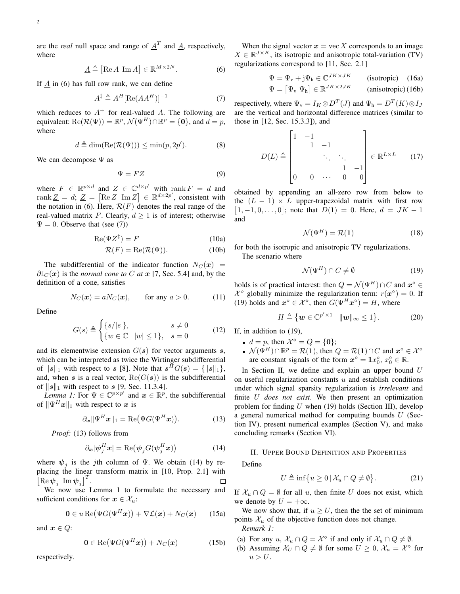are the *real* null space and range of  $\underline{A}^T$  and  $\underline{A}$ , respectively, where

$$
\underline{A} \triangleq [\text{Re } A \text{ Im } A] \in \mathbb{R}^{M \times 2N}.
$$
 (6)

If  $\underline{A}$  in (6) has full row rank, we can define

$$
A^{\ddagger} \triangleq A^H [\text{Re}(AA^H)]^{-1} \tag{7}
$$

which reduces to  $A^+$  for real-valued A. The following are equivalent:  $\text{Re}(\mathcal{R}(\Psi)) = \mathbb{R}^p$ ,  $\mathcal{N}(\Psi^H) \cap \mathbb{R}^p = \{0\}$ , and  $d = p$ , where

$$
d \triangleq \dim(\text{Re}(\mathcal{R}(\Psi))) \leq \min(p, 2p'). \tag{8}
$$

We can decompose  $\Psi$  as

$$
\Psi = FZ \tag{9}
$$

where  $F \in \mathbb{R}^{p \times d}$  and  $Z \in \mathbb{C}^{d \times p'}$  with rank  $F = d$  and rank  $Z = d$ ;  $Z = [\text{Re } Z \text{ Im } Z] \in \mathbb{R}^{d \times 2p'}$ , consistent with the notation in (6). Here,  $\mathcal{R}(F)$  denotes the real range of the real-valued matrix F. Clearly,  $d > 1$  is of interest; otherwise  $\Psi = 0$ . Observe that (see (7))

$$
\operatorname{Re}(\Psi Z^{\ddagger}) = F \tag{10a}
$$

$$
\mathcal{R}(F) = \text{Re}(\mathcal{R}(\Psi)).\tag{10b}
$$

The subdifferential of the indicator function  $N_C(x)$  =  $\partial \mathbb{I}_{C}(\boldsymbol{x})$  is the *normal cone to* C *at*  $\boldsymbol{x}$  [7, Sec. 5.4] and, by the definition of a cone, satisfies

$$
N_C(\boldsymbol{x}) = aN_C(\boldsymbol{x}), \qquad \text{for any } a > 0. \tag{11}
$$

Define

$$
G(s) \triangleq \begin{cases} \{s/|s|\}, & s \neq 0\\ \{w \in \mathbb{C} \mid |w| \leq 1\}, & s = 0 \end{cases}
$$
(12)

and its elementwise extension  $G(s)$  for vector arguments s, which can be interpreted as twice the Wirtinger subdifferential of  $||\mathbf{s}||_1$  with respect to  $\mathbf{s}$  [8]. Note that  $\mathbf{s}^H G(\mathbf{s}) = \{||\mathbf{s}||_1\},\$ and, when s is a real vector,  $\text{Re}(G(s))$  is the subdifferential of  $\|s\|_1$  with respect to s [9, Sec. 11.3.4].

*Lemma 1:* For  $\Psi \in \mathbb{C}^{p \times p'}$  and  $\boldsymbol{x} \in \mathbb{R}^p$ , the subdifferential of  $\|\Psi^{H}x\|_1$  with respect to x is

$$
\partial_{\boldsymbol{x}} \|\Psi^H \boldsymbol{x}\|_1 = \text{Re}(\Psi G(\Psi^H \boldsymbol{x})). \tag{13}
$$

*Proof:* (13) follows from

$$
\partial_{\boldsymbol{x}}|\boldsymbol{\psi}_j^H\boldsymbol{x}| = \text{Re}\big(\boldsymbol{\psi}_j G(\boldsymbol{\psi}_j^H\boldsymbol{x})\big) \tag{14}
$$

where  $\psi_j$  is the *j*th column of  $\Psi$ . We obtain (14) by replacing the linear transform matrix in [10, Prop. 2.1] with  $\begin{bmatrix} \operatorname{Re} \boldsymbol{\psi}_j \ \operatorname{Im} \boldsymbol{\psi}_j \end{bmatrix}^T$ .  $\Box$ 

We now use Lemma 1 to formulate the necessary and sufficient conditions for  $x \in \mathcal{X}_u$ :

$$
\mathbf{0} \in u \operatorname{Re}(\Psi G(\Psi^H \boldsymbol{x})) + \nabla \mathcal{L}(\boldsymbol{x}) + N_C(\boldsymbol{x}) \qquad (15a)
$$

and  $x \in Q$ :

$$
\mathbf{0} \in \text{Re}(\Psi G(\Psi^H \boldsymbol{x})) + N_C(\boldsymbol{x}) \tag{15b}
$$

respectively.

When the signal vector  $x = \text{vec } X$  corresponds to an image  $X \in \mathbb{R}^{J \times K}$ , its isotropic and anisotropic total-variation (TV) regularizations correspond to [11, Sec. 2.1]

$$
\Psi = \Psi_{v} + j\Psi_{h} \in \mathbb{C}^{JK \times JK} \qquad \text{(isotropic)} \quad (16a)
$$
  

$$
\Psi = \begin{bmatrix} \Psi_{v} & \Psi_{h} \end{bmatrix} \in \mathbb{R}^{JK \times 2JK} \qquad \text{(anisotropic)} \quad (16b)
$$

respectively, where  $\Psi_{v} = I_{K} \otimes D^{T}(J)$  and  $\Psi_{h} = D^{T}(K) \otimes I_{J}$ are the vertical and horizontal difference matrices (similar to those in [12, Sec. 15.3.3]), and

$$
D(L) \triangleq \begin{bmatrix} 1 & -1 & & & \\ & 1 & -1 & & \\ & & \ddots & \ddots & \\ & & & 1 & -1 \\ 0 & 0 & \cdots & 0 & 0 \end{bmatrix} \in \mathbb{R}^{L \times L} \qquad (17)
$$

obtained by appending an all-zero row from below to the  $(L - 1) \times L$  upper-trapezoidal matrix with first row  $[1, -1, 0, \ldots, 0]$ ; note that  $D(1) = 0$ . Here,  $d = JK - 1$ and

$$
\mathcal{N}(\Psi^H) = \mathcal{R}(1) \tag{18}
$$

for both the isotropic and anisotropic TV regularizations. The scenario where

$$
\mathcal{N}(\Psi^H) \cap C \neq \emptyset \tag{19}
$$

holds is of practical interest: then  $Q = \mathcal{N}(\Psi^H) \cap C$  and  $\mathbf{x}^{\diamond} \in \mathbb{R}$  $\mathcal{X}^{\diamond}$  globally minimize the regularization term:  $r(\boldsymbol{x}^{\diamond}) = 0$ . If (19) holds and  $x^{\diamond} \in \mathcal{X}^{\diamond}$ , then  $G(\Psi^{H} x^{\diamond}) = H$ , where

$$
H \triangleq \{ \boldsymbol{w} \in \mathbb{C}^{p' \times 1} \mid ||\boldsymbol{w}||_{\infty} \leq 1 \}. \tag{20}
$$

If, in addition to (19),

- $d = p$ , then  $\mathcal{X}^{\diamond} = Q = \{0\};$
- $\mathcal{N}(\Psi^H) \cap \mathbb{R}^p = \mathcal{R}(1)$ , then  $Q = \mathcal{R}(1) \cap C$  and  $x^{\circ} \in \mathcal{X}^{\circ}$ are constant signals of the form  $x^{\diamond} = \mathbf{1}x_0^{\diamond}, x_0^{\diamond} \in \mathbb{R}$ .

In Section II, we define and explain an upper bound  $U$ on useful regularization constants  $u$  and establish conditions under which signal sparsity regularization is *irrelevant* and finite U *does not exist*. We then present an optimization problem for finding  $U$  when (19) holds (Section III), develop a general numerical method for computing bounds  $U$  (Section IV), present numerical examples (Section V), and make concluding remarks (Section VI).

#### II. UPPER BOUND DEFINITION AND PROPERTIES

Define

$$
U \triangleq \inf \{ u \ge 0 \, | \, \mathcal{X}_u \cap Q \ne \emptyset \}. \tag{21}
$$

If  $\mathcal{X}_u \cap Q = \emptyset$  for all u, then finite U does not exist, which we denote by  $U = +\infty$ .

We now show that, if  $u \geq U$ , then the set of minimum points  $\mathcal{X}_u$  of the objective function does not change. *Remark 1:*

- (a) For any  $u, \mathcal{X}_u \cap Q = \mathcal{X}^{\diamond}$  if and only if  $\mathcal{X}_u \cap Q \neq \emptyset$ .
- (b) Assuming  $\mathcal{X}_U \cap Q \neq \emptyset$  for some  $U \geq 0$ ,  $\mathcal{X}_u = \mathcal{X}^{\diamond}$  for  $u > U$ .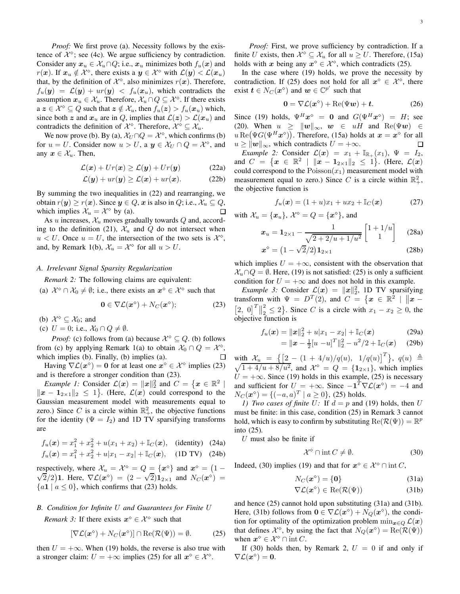*Proof:* We first prove (a). Necessity follows by the existence of  $\mathcal{X}^{\diamond}$ ; see (4c). We argue sufficiency by contradiction. Consider any  $x_u \in \mathcal{X}_u \cap Q$ ; i.e.,  $x_u$  minimizes both  $f_u(x)$  and  $r(x)$ . If  $x_u \notin \mathcal{X}^\diamond$ , there exists a  $y \in \mathcal{X}^\diamond$  with  $\mathcal{L}(y) < \mathcal{L}(x_u)$ that, by the definition of  $\mathcal{X}^{\diamond}$ , also minimizes  $r(x)$ . Therefore,  $f_u(y) = \mathcal{L}(y) + ur(y) < f_u(x_u)$ , which contradicts the assumption  $x_u \in \mathcal{X}_u$ . Therefore,  $\mathcal{X}_u \cap Q \subseteq \mathcal{X}^{\diamond}$ . If there exists  $a \, z \in \mathcal{X}^{\diamond} \subseteq Q$  such that  $z \notin \mathcal{X}_u$ , then  $f_u(z) > f_u(x_u)$  which, since both z and  $x_u$  are in Q, implies that  $\mathcal{L}(z) > \mathcal{L}(x_u)$  and contradicts the definition of  $\mathcal{X}^{\diamond}$ . Therefore,  $\mathcal{X}^{\diamond} \subseteq \mathcal{X}_u$ .

We now prove (b). By (a),  $\mathcal{X}_U \cap Q = \mathcal{X}^{\diamond}$ , which confirms (b) for  $u = U$ . Consider now  $u > U$ , a  $y \in \mathcal{X}_U \cap Q = \mathcal{X}^{\diamond}$ , and any  $x \in \mathcal{X}_u$ . Then,

$$
\mathcal{L}(\boldsymbol{x}) + Ur(\boldsymbol{x}) \ge \mathcal{L}(\boldsymbol{y}) + Ur(\boldsymbol{y}) \tag{22a}
$$

$$
\mathcal{L}(\mathbf{y}) + ur(\mathbf{y}) \ge \mathcal{L}(\mathbf{x}) + ur(\mathbf{x}). \tag{22b}
$$

By summing the two inequalities in (22) and rearranging, we obtain  $r(y) \ge r(x)$ . Since  $y \in Q$ , x is also in Q; i.e.,  $\mathcal{X}_u \subseteq Q$ , which implies  $\mathcal{X}_u = \mathcal{X}^{\diamond}$  by (a). which implies  $\mathcal{X}_u = \mathcal{X}^{\diamond}$  by (a).

As u increases,  $\mathcal{X}_u$  moves gradually towards  $Q$  and, according to the definition (21),  $\mathcal{X}_u$  and  $Q$  do not intersect when  $u < U$ . Once  $u = U$ , the intersection of the two sets is  $\mathcal{X}^{\diamond}$ , and, by Remark 1(b),  $\mathcal{X}_u = \mathcal{X}^{\diamond}$  for all  $u > U$ .

## *A. Irrelevant Signal Sparsity Regularization*

*Remark 2:* The following claims are equivalent:

(a)  $\mathcal{X}^{\circ} \cap \mathcal{X}_0 \neq \emptyset$ ; i.e., there exists an  $x^{\circ} \in \mathcal{X}^{\circ}$  such that

$$
\mathbf{0} \in \nabla \mathcal{L}(\boldsymbol{x}^{\diamond}) + N_C(\boldsymbol{x}^{\diamond});\tag{23}
$$

(b)  $\mathcal{X}^{\diamond} \subseteq \mathcal{X}_0$ ; and

(c)  $U = 0$ ; i.e.,  $\mathcal{X}_0 \cap Q \neq \emptyset$ .

*Proof:* (c) follows from (a) because  $\mathcal{X}^{\diamond} \subseteq Q$ . (b) follows from (c) by applying Remark 1(a) to obtain  $\mathcal{X}_0 \cap Q = \mathcal{X}^{\diamond}$ , which implies (b). Finally, (b) implies (a).  $\Box$ 

Having  $\nabla \mathcal{L}(x^{\circ}) = 0$  for at least one  $x^{\circ} \in \mathcal{X}^{\circ}$  implies (23) and is therefore a stronger condition than (23).

*Example 1:* Consider  $\mathcal{L}(\boldsymbol{x}) = ||\boldsymbol{x}||_2^2$  and  $C = \{ \boldsymbol{x} \in \mathbb{R}^2 \mid \boldsymbol{x} \in \mathbb{R}^2 \}$  $||x - 1_{2 \times 1}||_2 \le 1$ . (Here,  $\mathcal{L}(x)$  could correspond to the Gaussian measurement model with measurements equal to zero.) Since C is a circle within  $\mathbb{R}^2_+$ , the objective functions for the identity ( $\Psi = I_2$ ) and 1D TV sparsifying transforms are

$$
f_u(\mathbf{x}) = x_1^2 + x_2^2 + u(x_1 + x_2) + \mathbb{I}_C(\mathbf{x}), \quad \text{(identity)} \quad (24a)
$$
  
\n
$$
f_u(\mathbf{x}) = x_1^2 + x_2^2 + u|x_1 - x_2| + \mathbb{I}_C(\mathbf{x}), \quad \text{(1D TV)} \quad (24b)
$$

respectively, where  $\mathcal{X}_u = \mathcal{X}^{\diamond} = Q = \{x^{\diamond}\}\$  and  $x^{\diamond} = (1 - \sqrt{2})\mathbf{1}$ ,  $\mathbf{H}_{\geq 0}(\mathbf{Z}^{\diamond}) = (2 - \sqrt{2})\mathbf{1}$ , and  $N_{\geq 0}(\mathbf{Z}^{\diamond}) =$  $\frac{1}{2}$ (2) 1. Here,  $\nabla$ L(x<sup>o</sup>) = (2 -  $\sqrt{2}$ ) 1<sub>2×1</sub> and  $N_C(x^{\circ})$  =  ${a1 | a \leq 0}$ , which confirms that (23) holds.

# *B. Condition for Infinite* U *and Guarantees for Finite* U

*Remark 3:* If there exists  $x^{\circ} \in \mathcal{X}^{\circ}$  such that

$$
[\nabla \mathcal{L}(\boldsymbol{x}^{\diamond}) + N_C(\boldsymbol{x}^{\diamond})] \cap \text{Re}(\mathcal{R}(\Psi)) = \emptyset.
$$
 (25)

then  $U = +\infty$ . When (19) holds, the reverse is also true with a stronger claim:  $U = +\infty$  implies (25) for all  $x^{\circ} \in \mathcal{X}^{\circ}$ .

*Proof:* First, we prove sufficiency by contradiction. If a finite U exists, then  $\mathcal{X}^{\diamond} \subseteq \mathcal{X}_u$  for all  $u \geq U$ . Therefore, (15a) holds with x being any  $x^{\circ} \in \mathcal{X}^{\circ}$ , which contradicts (25).

In the case where (19) holds, we prove the necessity by contradiction. If (25) does not hold for all  $x^{\diamond} \in \mathcal{X}^{\diamond}$ , there exist  $\mathbf{t} \in N_C(\mathbf{x}^{\diamond})$  and  $\mathbf{w} \in \mathbb{C}^{p'}$  such that

$$
0 = \nabla \mathcal{L}(x^{\diamond}) + \text{Re}(\Psi w) + t. \tag{26}
$$

Since (19) holds,  $\Psi^H x^{\diamond} = 0$  and  $G(\Psi^H x^{\diamond}) = H$ ; see (20). When  $u \geq ||w||_{\infty}, w \in uH$  and  $\text{Re}(\Psi w) \in$  $u \, \text{Re}(\Psi G(\Psi^{H}\boldsymbol{x}^{\diamond}))$ . Therefore, (15a) holds at  $\boldsymbol{x} = \boldsymbol{x}^{\diamond}$  for all  $u \ge ||w||_{\infty}$ , which contradicts  $U = +\infty$ .  $\Box$ 

*Example 2:* Consider  $\mathcal{L}(\mathbf{x}) = x_1 + \mathbb{I}_{\mathbb{R}_+}(x_1), \Psi = I_2$ , and  $C = \{x \in \mathbb{R}^2 \mid ||x - \mathbf{1}_{2 \times 1}||_2 \leq 1\}$ . (Here,  $\mathcal{L}(x)$ could correspond to the  $Poisson(x_1)$  measurement model with measurement equal to zero.) Since C is a circle within  $\mathbb{R}^2_+$ , the objective function is

$$
f_u(\bm{x}) = (1+u)x_1 + ux_2 + \mathbb{I}_C(\bm{x})
$$
 (27)

with  $\mathcal{X}_u = {\mathbf{x}_u}$ ,  $\mathcal{X}^{\diamond} = Q = {\mathbf{x}^{\diamond}}$ , and

$$
x_u = 1_{2 \times 1} - \frac{1}{\sqrt{2 + 2/u + 1/u^2}} \begin{bmatrix} 1 + 1/u \\ 1 \end{bmatrix}
$$
 (28a)

$$
\boldsymbol{x}^{\diamond} = \left(1 - \sqrt{2}/2\right) \mathbf{1}_{2 \times 1} \tag{28b}
$$

which implies  $U = +\infty$ , consistent with the observation that  $\mathcal{X}_u \cap Q = \emptyset$ . Here, (19) is not satisfied: (25) is only a sufficient condition for  $U = +\infty$  and does not hold in this example.

*Example 3:* Consider  $\mathcal{L}(x) = ||x||_2^2$ , 1D TV sparsifying transform with  $\Psi = D^T(2)$ , and  $C = \{x \in \mathbb{R}^2 \mid ||x - \mathbb{R}^2||\}$  $\begin{bmatrix} 2, & 0 \end{bmatrix}^T$ 2  $\binom{2}{2} \leq 2$ . Since C is a circle with  $x_1 - x_2 \geq 0$ , the objective function is

$$
f_u(\boldsymbol{x}) = ||\boldsymbol{x}||_2^2 + u|x_1 - x_2| + \mathbb{I}_C(\boldsymbol{x}) \tag{29a}
$$

$$
= \|x - \frac{1}{2}[u - u]^T\|_2^2 - u^2/2 + \mathbb{I}_C(x) \quad (29b)
$$

with  $\mathcal{X}_u = \{ [2 - (1 + 4/u)/q(u), 1/q(u)]^T \}$ ,  $q(u) \triangleq \sqrt{1 + 4/u + 8/u^2}$ , and  $\mathcal{X}^{\diamond} = Q = \{ \mathbf{1}_{2 \times 1} \}$ , which implies  $\frac{1 + 4/u + 8/u^2}{2}$ , and  $\mathcal{X}^{\diamond} = Q = \{1_{2 \times 1}\}\$ , which implies  $U = +\infty$ . Since (19) holds in this example, (25) is necessary and sufficient for  $U = +\infty$ . Since  $-\mathbf{1}^T \nabla \mathcal{L}(x^{\circ}) = -4$  and  $N_C(\boldsymbol{x}^{\circ}) = \{(-a, a)^T \mid a \ge 0\},\$  (25) holds.

*1) Two cases of finite* U: If  $d = p$  and (19) holds, then U must be finite: in this case, condition (25) in Remark 3 cannot hold, which is easy to confirm by substituting  $\text{Re}(\mathcal{R}(\Psi)) = \mathbb{R}^p$ into (25).

U must also be finite if

$$
\mathcal{X}^{\diamond} \cap \operatorname{int} C \neq \emptyset. \tag{30}
$$

Indeed, (30) implies (19) and that for  $x^{\circ} \in \mathcal{X}^{\circ} \cap \text{int } C$ ,

$$
N_C(\boldsymbol{x}^\diamond) = \{0\} \tag{31a}
$$

$$
\nabla \mathcal{L}(\boldsymbol{x}^{\diamond}) \in \text{Re}(\mathcal{R}(\Psi))
$$
 (31b)

and hence (25) cannot hold upon substituting (31a) and (31b). Here, (31b) follows from  $\mathbf{0} \in \nabla \mathcal{L}(\boldsymbol{x}^{\circ}) + N_Q(\boldsymbol{x}^{\circ})$ , the condition for optimality of the optimization problem  $\min_{\mathbf{x} \in \mathcal{O}} \mathcal{L}(\mathbf{x})$ that defines  $\mathcal{X}^{\diamond}$ , by using the fact that  $N_Q(\boldsymbol{x}^{\diamond}) = \text{Re}(\mathcal{R}(\Psi))$ when  $x^{\diamond} \in \mathcal{X}^{\diamond} \cap \text{int } C$ .

If (30) holds then, by Remark 2,  $U = 0$  if and only if  $\nabla \mathcal{L}(\boldsymbol{x}^{\diamond}) = \boldsymbol{0}.$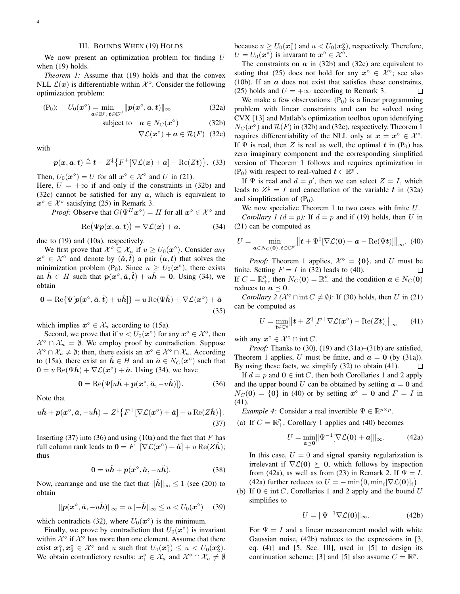## III. BOUNDS WHEN (19) HOLDS

We now present an optimization problem for finding  $U$ when (19) holds.

*Theorem 1:* Assume that (19) holds and that the convex NLL  $\mathcal{L}(\boldsymbol{x})$  is differentiable within  $\mathcal{X}^{\diamond}$ . Consider the following optimization problem:

$$
\text{(P}_0): \quad U_0(\boldsymbol{x}^\diamond) = \min_{\boldsymbol{a}\in\mathbb{R}^p, \, \boldsymbol{t}\in\mathbb{C}^{p'}} \| \boldsymbol{p}(\boldsymbol{x}^\diamond, \boldsymbol{a}, \boldsymbol{t}) \|_\infty \tag{32a}
$$

subject to 
$$
\mathbf{a} \in N_C(\mathbf{x}^{\diamond})
$$
 (32b)

$$
\nabla \mathcal{L}(\boldsymbol{x}^{\diamond}) + \boldsymbol{a} \in \mathcal{R}(F) \quad (32c)
$$

with

$$
\boldsymbol{p}(\boldsymbol{x},\boldsymbol{a},\boldsymbol{t}) \triangleq \boldsymbol{t} + Z^{\ddagger} \{ F^+ [\nabla \mathcal{L}(\boldsymbol{x}) + \boldsymbol{a}] - \text{Re}(Z \boldsymbol{t}) \}. (33)
$$

Then,  $U_0(\boldsymbol{x}^{\circ}) = U$  for all  $\boldsymbol{x}^{\circ} \in \mathcal{X}^{\circ}$  and U in (21).

Here,  $U = +\infty$  if and only if the constraints in (32b) and (32c) cannot be satisfied for any  $\alpha$ , which is equivalent to  $x^{\diamond} \in \mathcal{X}^{\diamond}$  satisfying (25) in Remark 3.

*Proof:* Observe that  $G(\Psi^H \mathbf{x}^{\diamond}) = H$  for all  $\mathbf{x}^{\diamond} \in \mathcal{X}^{\diamond}$  and

$$
\operatorname{Re}(\Psi p(x,a,t)) = \nabla \mathcal{L}(x) + a. \tag{34}
$$

due to (19) and (10a), respectively.

We first prove that  $\mathcal{X}^{\diamond} \subseteq \mathcal{X}_{u}$  if  $u \geq U_{0}(\boldsymbol{x}^{\diamond})$ . Consider *any*  $x^{\diamond} \in \mathcal{X}^{\diamond}$  and denote by  $(\tilde{a}, \tilde{t})$  a pair  $(a, t)$  that solves the minimization problem (P<sub>0</sub>). Since  $u \ge U_0(\boldsymbol{x}^{\circ})$ , there exists an  $\tilde{h} \in H$  such that  $p(x^{\circ}, \tilde{a}, \tilde{t}) + u\tilde{h} = 0$ . Using (34), we obtain

$$
\mathbf{0} = \text{Re}\{\Psi[\mathbf{p}(\mathbf{x}^\diamond, \tilde{\mathbf{a}}, \tilde{\mathbf{t}}) + u\tilde{\mathbf{h}}]\} = u \text{Re}(\Psi \tilde{\mathbf{h}}) + \nabla \mathcal{L}(\mathbf{x}^\diamond) + \tilde{\mathbf{a}} \tag{35}
$$

which implies  $x^{\diamond} \in \mathcal{X}_u$  according to (15a).

Second, we prove that if  $u < U_0(x^{\circ})$  for any  $x^{\circ} \in \mathcal{X}^{\circ}$ , then  $\mathcal{X}^{\diamond} \cap \mathcal{X}_u = \emptyset$ . We employ proof by contradiction. Suppose  $\mathcal{X}^{\diamond} \cap \mathcal{X}_u \neq \emptyset$ ; then, there exists an  $x^{\diamond} \in \mathcal{X}^{\diamond} \cap \mathcal{X}_u$ . According to (15a), there exist an  $\check{h} \in H$  and an  $\check{a} \in N_C(\mathbf{x}^{\circ})$  such that  $\mathbf{0} = u \operatorname{Re}(\Psi \check{\boldsymbol{h}}) + \nabla \mathcal{L}(\boldsymbol{x}^{\diamond}) + \check{\boldsymbol{a}}$ . Using (34), we have

$$
\mathbf{0} = \text{Re}(\Psi[u\check{\boldsymbol{h}} + \boldsymbol{p}(\boldsymbol{x}^{\diamond},\check{\boldsymbol{a}},-u\check{\boldsymbol{h}})]). \tag{36}
$$

Note that

$$
u\check{\boldsymbol{h}} + \boldsymbol{p}(\boldsymbol{x}^{\diamond}, \check{\boldsymbol{a}}, -u\check{\boldsymbol{h}}) = Z^{\ddagger} \{ F^{+} [\nabla \mathcal{L}(\boldsymbol{x}^{\diamond}) + \check{\boldsymbol{a}}] + u \operatorname{Re}(Z\check{\boldsymbol{h}}) \}.
$$
\n(37)

Inserting (37) into (36) and using (10a) and the fact that  $F$  has full column rank leads to  $\mathbf{0} = F^+[\nabla \mathcal{L}(\boldsymbol{x}^{\diamond}) + \boldsymbol{\check{a}}] + u \operatorname{Re}(\boldsymbol{Z}\boldsymbol{\check{h}});$ thus

$$
\mathbf{0} = u\check{\mathbf{h}} + p(\mathbf{x}^{\diamond}, \check{\mathbf{a}}, -u\check{\mathbf{h}}). \tag{38}
$$

Now, rearrange and use the fact that  $\|\dot{\mathbf{h}}\|_{\infty} \leq 1$  (see (20)) to obtain

$$
\|\boldsymbol{p}(\boldsymbol{x}^{\diamond},\check{\boldsymbol{a}},-u\check{\boldsymbol{h}})\|_{\infty}=u\|-\check{\boldsymbol{h}}\|_{\infty}\leq u < U_{0}(\boldsymbol{x}^{\diamond}) \quad (39)
$$

which contradicts (32), where  $U_0(\boldsymbol{x}^{\circ})$  is the minimum.

Finally, we prove by contradiction that  $U_0(\mathbf{x}^{\diamond})$  is invariant within  $\mathcal{X}^{\diamond}$  if  $\mathcal{X}^{\diamond}$  has more than one element. Assume that there exist  $x_1^{\diamond}, x_2^{\diamond} \in \mathcal{X}^{\diamond}$  and u such that  $U_0(x_1^{\diamond}) \leq u < U_0(x_2^{\diamond})$ . We obtain contradictory results:  $x_1^{\circ} \in \mathcal{X}_u$  and  $\mathcal{X}^{\circ} \cap \mathcal{X}_u \neq \emptyset$  because  $u \ge U_0(\boldsymbol{x}_1^{\lozenge})$  and  $u < U_0(\boldsymbol{x}_2^{\lozenge})$ , respectively. Therefore,  $U = U_0(\boldsymbol{x}^{\diamond})$  is invarant to  $\boldsymbol{x}^{\diamond} \in \mathcal{X}^{\diamond}$ .

The constraints on  $\alpha$  in (32b) and (32c) are equivalent to stating that (25) does not hold for any  $x^{\circ} \in \mathcal{X}^{\circ}$ ; see also (10b). If an  $\alpha$  does not exist that satisfies these constraints, (25) holds and  $U = +\infty$  according to Remark 3. П

We make a few observations:  $(P_0)$  is a linear programming problem with linear constraints and can be solved using CVX [13] and Matlab's optimization toolbox upon identifying  $N_C(\boldsymbol{x}^{\circ})$  and  $\mathcal{R}(F)$  in (32b) and (32c), respectively. Theorem 1 requires differentiability of the NLL only at  $x = x^{\circ} \in \mathcal{X}^{\circ}$ . If  $\Psi$  is real, then Z is real as well, the optimal t in  $(P_0)$  has zero imaginary component and the corresponding simplified version of Theorem 1 follows and requires optimization in (P<sub>0</sub>) with respect to real-valued  $t \in \mathbb{R}^{p'}$ .

If  $\Psi$  is real and  $d = p'$ , then we can select  $Z = I$ , which leads to  $Z^{\ddagger} = I$  and cancellation of the variable t in (32a) and simplification of  $(P_0)$ .

We now specialize Theorem 1 to two cases with finite U. *Corollary 1 (d = p)*: If  $d = p$  and if (19) holds, then U in (21) can be computed as

$$
U = \min_{\mathbf{a}\in N_C(\mathbf{0}),\,\mathbf{t}\in\mathbb{C}^{p'}} \left\|\mathbf{t} + \Psi^{\ddagger}[\nabla \mathcal{L}(\mathbf{0}) + \mathbf{a} - \text{Re}(\Psi \mathbf{t})]\right\|_{\infty}.
$$
 (40)

*Proof:* Theorem 1 applies,  $\mathcal{X}^{\diamond} = \{0\}$ , and U must be finite. Setting  $F = I$  in (32) leads to (40). If  $C = \mathbb{R}^p_+$ , then  $N_C(\mathbf{0}) = \mathbb{R}^p_-$  and the condition  $\mathbf{a} \in N_C(\mathbf{0})$ reduces to  $a \preceq 0$ .

*Corollary 2* ( $\mathcal{X}^{\diamond} \cap \text{int } C \neq \emptyset$ ): If (30) holds, then U in (21) can be computed as

$$
U = \min_{t \in \mathbb{C}^d} \left\| t + Z^{\ddagger} [F^+ \nabla \mathcal{L}(\boldsymbol{x}^{\diamond}) - \text{Re}(Zt)] \right\|_{\infty} \qquad (41)
$$

with any  $x^{\diamond} \in \mathcal{X}^{\diamond} \cap \text{int } C$ .

*Proof:* Thanks to (30), (19) and (31a)–(31b) are satisfied, Theorem 1 applies, U must be finite, and  $\mathbf{a} = \mathbf{0}$  (by (31a)). By using these facts, we simplify (32) to obtain (41). П

If  $d = p$  and  $\mathbf{0} \in \text{int } C$ , then both Corollaries 1 and 2 apply and the upper bound U can be obtained by setting  $a = 0$  and  $N_C(\mathbf{0}) = \{0\}$  in (40) or by setting  $x^{\diamond} = \mathbf{0}$  and  $F = I$  in (41).

*Example 4:* Consider a real invertible  $\Psi \in \mathbb{R}^{p \times p}$ .

(a) If  $C = \mathbb{R}^p_+$ , Corollary 1 applies and (40) becomes

$$
U = \min_{\mathbf{a} \preceq \mathbf{0}} \|\Psi^{-1}[\nabla \mathcal{L}(\mathbf{0}) + \mathbf{a}]\|_{\infty}.
$$
 (42a)

In this case,  $U = 0$  and signal sparsity regularization is irrelevant if  $\nabla \mathcal{L}(\mathbf{0}) \succeq \mathbf{0}$ , which follows by inspection from (42a), as well as from (23) in Remark 2. If  $\Psi = I$ , (42a) further reduces to  $U = -\min(0, \min_i[\nabla \mathcal{L}(\mathbf{0})]_i)$ .

(b) If  $0 \in \text{int } C$ , Corollaries 1 and 2 apply and the bound U simplifies to

$$
U = \|\Psi^{-1}\nabla \mathcal{L}(\mathbf{0})\|_{\infty}.\tag{42b}
$$

For  $\Psi = I$  and a linear measurement model with white Gaussian noise, (42b) reduces to the expressions in [3, eq.  $(4)$ ] and [5, Sec. III], used in [5] to design its continuation scheme; [3] and [5] also assume  $C = \mathbb{R}^p$ .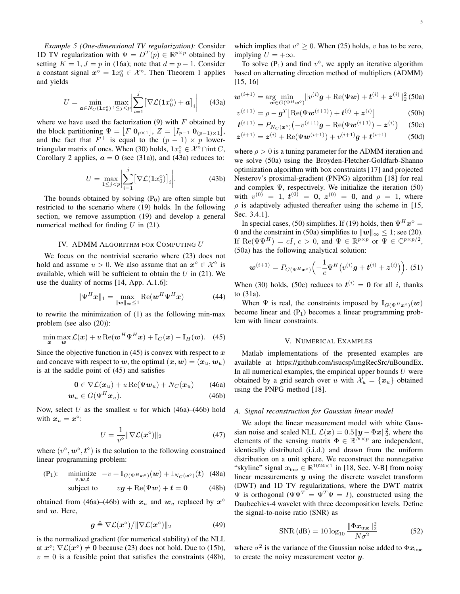*Example 5 (One-dimensional TV regularization):* Consider 1D TV regularization with  $\Psi = D^T(p) \in \mathbb{R}^{p \times p}$  obtained by setting  $K = 1, J = p$  in (16a); note that  $d = p - 1$ . Consider a constant signal  $x^{\diamond} = 1x_0^{\diamond} \in \mathcal{X}^{\diamond}$ . Then Theorem 1 applies and yields

$$
U = \min_{\mathbf{a} \in N_C(\mathbf{1}x_0^{\circ})} \max_{1 \leq j < p} \left| \sum_{i=1}^j \left[ \nabla \mathcal{L}(\mathbf{1}x_0^{\circ}) + \mathbf{a} \right]_i \right| \tag{43a}
$$

where we have used the factorization  $(9)$  with F obtained by the block partitioning  $\Psi = [F \mathbf{0}_{p \times 1}], Z = [I_{p-1} \mathbf{0}_{(p-1) \times 1}],$ and the fact that  $F^+$  is equal to the  $(p-1) \times p$  lowertriangular matrix of ones. When (30) holds,  $1x_0^\diamond \in \mathcal{X}^\diamond \cap \text{int } C$ , Corollary 2 applies,  $a = 0$  (see (31a)), and (43a) reduces to:

$$
U = \max_{1 \le j < p} \left| \sum_{i=1}^{j} \left[ \nabla \mathcal{L}(\mathbf{1}x_0^\diamond) \right]_i \right| \tag{43b}
$$

The bounds obtained by solving  $(P_0)$  are often simple but restricted to the scenario where (19) holds. In the following section, we remove assumption (19) and develop a general numerical method for finding  $U$  in (21).

#### IV. ADMM ALGORITHM FOR COMPUTING U

We focus on the nontrivial scenario where (23) does not hold and assume  $u > 0$ . We also assume that an  $x^{\diamond} \in \mathcal{X}^{\diamond}$  is available, which will be sufficient to obtain the  $U$  in (21). We use the duality of norms [14, App. A.1.6]:

$$
\|\Psi^H \mathbf{x}\|_1 = \max_{\|\mathbf{w}\|_{\infty} \le 1} \text{Re}(\mathbf{w}^H \Psi^H \mathbf{x})
$$
 (44)

to rewrite the minimization of (1) as the following min-max problem (see also (20)):

$$
\min_{\boldsymbol{x}} \max_{\boldsymbol{w}} \mathcal{L}(\boldsymbol{x}) + u \operatorname{Re}(\boldsymbol{w}^H \boldsymbol{\Psi}^H \boldsymbol{x}) + \mathbb{I}_C(\boldsymbol{x}) - \mathbb{I}_H(\boldsymbol{w}). \quad (45)
$$

Since the objective function in  $(45)$  is convex with respect to x and concave with respect to w, the optimal  $(x, w) = (x_u, w_u)$ is at the saddle point of (45) and satisfies

$$
\mathbf{0} \in \nabla \mathcal{L}(\boldsymbol{x}_u) + u \operatorname{Re}(\Psi \boldsymbol{w}_u) + N_C(\boldsymbol{x}_u) \qquad (46a)
$$

$$
\mathbf{w}_u \in G(\Psi^H \mathbf{x}_u). \tag{46b}
$$

Now, select U as the smallest u for which  $(46a)$ – $(46b)$  hold with  $x_u = x^{\diamond}$ :

$$
U = \frac{1}{v^{\diamond}} \|\nabla \mathcal{L}(\boldsymbol{x}^{\diamond})\|_2 \tag{47}
$$

where  $(v^{\diamond}, w^{\diamond}, t^{\diamond})$  is the solution to the following constrained linear programming problem:

(P<sub>1</sub>): minimize 
$$
-v + \mathbb{I}_{G(\Psi^H \mathbf{x}^{\circ})}(\mathbf{w}) + \mathbb{I}_{N_C(\mathbf{x}^{\circ})}(t)
$$
 (48a)

subject to 
$$
vg + \text{Re}(\Psi w) + t = 0
$$
 (48b)

obtained from (46a)–(46b) with  $x_u$  and  $w_u$  replaced by  $x^{\diamond}$ and w. Here,

$$
\boldsymbol{g} \triangleq \nabla \mathcal{L}(\boldsymbol{x}^{\diamond}) / \|\nabla \mathcal{L}(\boldsymbol{x}^{\diamond})\|_2 \tag{49}
$$

is the normalized gradient (for numerical stability) of the NLL at  $x^{\circ}$ ;  $\nabla \mathcal{L}(x^{\circ}) \neq 0$  because (23) does not hold. Due to (15b),  $v = 0$  is a feasible point that satisfies the constraints (48b),

which implies that  $v^{\diamond} \ge 0$ . When (25) holds, v has to be zero, implying  $U = +\infty$ .

To solve  $(P_1)$  and find  $v^{\diamond}$ , we apply an iterative algorithm based on alternating direction method of multipliers (ADMM) [15, 16]

$$
\boldsymbol{w}^{(i+1)} = \arg\!\min_{\boldsymbol{w}\in G(\Psi^H\boldsymbol{x}^{\circ})} \|\boldsymbol{v}^{(i)}\boldsymbol{g} + \text{Re}(\Psi\boldsymbol{w}) + \boldsymbol{t}^{(i)} + \boldsymbol{z}^{(i)}\|_2^2 \,(\text{50a})
$$

$$
v^{(i+1)} = \rho - g^T \left[ \text{Re}(\Psi \mathbf{w}^{(i+1)}) + \mathbf{t}^{(i)} + \mathbf{z}^{(i)} \right] \tag{50b}
$$

$$
\begin{aligned} \n\boldsymbol{t}^{(i+1)} &= P_{N_C(\boldsymbol{x}^{\diamond})} \big( -v^{(i+1)} \boldsymbol{g} - \text{Re}(\boldsymbol{\Psi} \boldsymbol{w}^{(i+1)}) - \boldsymbol{z}^{(i)} \big) \quad (50c) \\ \n\boldsymbol{z}^{(i+1)} &= \boldsymbol{z}^{(i)} + \text{Re}(\boldsymbol{\Psi} \boldsymbol{w}^{(i+1)}) + v^{(i+1)} \boldsymbol{g} + \boldsymbol{t}^{(i+1)} \quad (50d) \n\end{aligned}
$$

where  $\rho > 0$  is a tuning parameter for the ADMM iteration and we solve (50a) using the Broyden-Fletcher-Goldfarb-Shanno optimization algorithm with box constraints [17] and projected Nesterov's proximal-gradient (PNPG) algorithm [18] for real and complex  $\Psi$ , respectively. We initialize the iteration (50) with  $v^{(0)} = 1$ ,  $t^{(0)} = 0$ ,  $z^{(0)} = 0$ , and  $\rho = 1$ , where  $\rho$  is adaptively adjusted thereafter using the scheme in [15, Sec. 3.4.1].

In special cases, (50) simplifies. If (19) holds, then  $\Psi^H \mathbf{x}^{\diamond} = \mathbf{z}$ 0 and the constraint in (50a) simplifies to  $\|w\|_{\infty} \leq 1$ ; see (20). If  $\text{Re}(\Psi\Psi^H) = cI, c > 0$ , and  $\Psi \in \mathbb{R}^{p \times p}$  or  $\Psi \in \mathbb{C}^{p \times p/2}$ , (50a) has the following analytical solution:

$$
\boldsymbol{w}^{(i+1)} = P_{G(\Psi^H \boldsymbol{x}^{\diamond})} \Big( -\frac{1}{c} \Psi^H \big( v^{(i)} \boldsymbol{g} + \boldsymbol{t}^{(i)} + \boldsymbol{z}^{(i)} \big) \Big). \tag{51}
$$

When (30) holds, (50c) reduces to  $t^{(i)} = 0$  for all i, thanks to (31a).

When  $\Psi$  is real, the constraints imposed by  $\mathbb{I}_{G(\Psi^H \mathbf{x}^{\diamond})}(\boldsymbol{w})$ become linear and  $(P_1)$  becomes a linear programming problem with linear constraints.

#### V. NUMERICAL EXAMPLES

Matlab implementations of the presented examples are available at https://github.com/isucsp/imgRecSrc/uBoundEx. In all numerical examples, the empirical upper bounds  $U$  were obtained by a grid search over u with  $\mathcal{X}_u = \{x_u\}$  obtained using the PNPG method [18].

#### *A. Signal reconstruction for Gaussian linear model*

We adopt the linear measurement model with white Gaussian noise and scaled NLL  $\mathcal{L}(\boldsymbol{x}) = 0.5 \|\boldsymbol{y} - \boldsymbol{\Phi}\boldsymbol{x}\|_2^2$ , where the elements of the sensing matrix  $\Phi \in \mathbb{R}^{N \times p}$  are independent, identically distributed (i.i.d.) and drawn from the uniform distribution on a unit sphere. We reconstruct the nonnegative "skyline" signal  $x_{\text{true}} \in \mathbb{R}^{1024 \times 1}$  in [18, Sec. V-B] from noisy linear measurements  $y$  using the discrete wavelet transform (DWT) and 1D TV regularizations, where the DWT matrix  $\Psi$  is orthogonal ( $\Psi \Psi^T = \Psi^T \Psi = I$ ), constructed using the Daubechies-4 wavelet with three decomposition levels. Define the signal-to-noise ratio (SNR) as

$$
SNR (dB) = 10 \log_{10} \frac{\|\Phi x_{true}\|_2^2}{N\sigma^2}
$$
 (52)

where  $\sigma^2$  is the variance of the Gaussian noise added to  $\Phi x_{\text{true}}$ to create the noisy measurement vector  $y$ .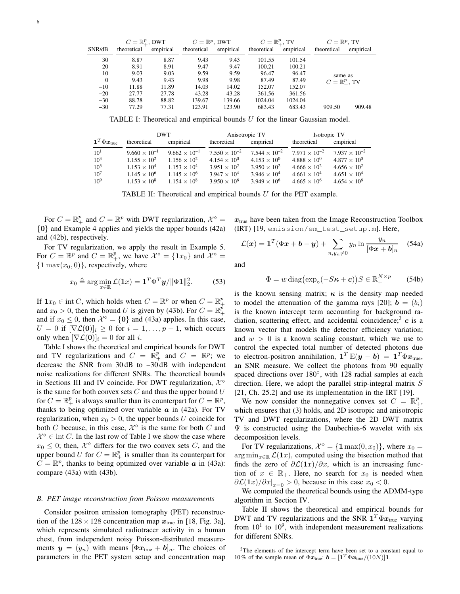|          | $C=\mathbb{R}^p_+$ , DWT |           | $C=\mathbb{R}^p$ , DWT |           | $C=\mathbb{R}^p_+$ , TV |           | $C=\mathbb{R}^p$ , TV   |           |
|----------|--------------------------|-----------|------------------------|-----------|-------------------------|-----------|-------------------------|-----------|
| SNR/dB   | theoretical              | empirical | theoretical            | empirical | theoretical             | empirical | theoretical             | empirical |
| 30       | 8.87                     | 8.87      | 9.43                   | 9.43      | 101.55                  | 101.54    |                         |           |
| 20       | 8.91                     | 8.91      | 9.47                   | 9.47      | 100.21                  | 100.21    |                         |           |
| 10       | 9.03                     | 9.03      | 9.59                   | 9.59      | 96.47                   | 96.47     | same as                 |           |
| $\Omega$ | 9.43                     | 9.43      | 9.98                   | 9.98      | 87.49                   | 87.49     | $C=\mathbb{R}^p_+$ , TV |           |
| $-10$    | 11.88                    | 11.89     | 14.03                  | 14.02     | 152.07                  | 152.07    |                         |           |
| $-20$    | 27.77                    | 27.78     | 43.28                  | 43.28     | 361.56                  | 361.56    |                         |           |
| $-30$    | 88.78                    | 88.82     | 139.67                 | 139.66    | 1024.04                 | 1024.04   |                         |           |
| $-30$    | 77.29                    | 77.31     | 123.91                 | 123.90    | 683.43                  | 683.43    | 909.50                  | 909.48    |

TABLE I: Theoretical and empirical bounds  $U$  for the linear Gaussian model.

|                                                  |                        | <b>DWT</b>             |                        | Anisotropic TV         | Isotropic TV           |                        |  |
|--------------------------------------------------|------------------------|------------------------|------------------------|------------------------|------------------------|------------------------|--|
| $\mathbf{1}^T \Phi \boldsymbol{x}_{\text{true}}$ | theoretical            | empirical              | theoretical            | empirical              | theoretical            | empirical              |  |
| $10^{1}$                                         | $9.660 \times 10^{-1}$ | $9.662 \times 10^{-1}$ | $7.550 \times 10^{-2}$ | $7.544 \times 10^{-2}$ | $7.971 \times 10^{-2}$ | $7.937 \times 10^{-2}$ |  |
| $10^3$                                           | $1.155 \times 10^{2}$  | $1.156 \times 10^{2}$  | $4.154 \times 10^{0}$  | $4.153 \times 10^{0}$  | $4.888 \times 10^{0}$  | $4.877 \times 10^{0}$  |  |
| $10^{5}$                                         | $1.153 \times 10^{4}$  | $1.153 \times 10^{4}$  | $3.951 \times 10^{2}$  | $3.950 \times 10^{2}$  | $4.666 \times 10^{2}$  | $4.656 \times 10^{2}$  |  |
| $10^{7}$                                         | $1.145 \times 10^{6}$  | $1.145 \times 10^{6}$  | $3.947 \times 10^{4}$  | $3.946 \times 10^{4}$  | $4.661 \times 10^{4}$  | $4.651 \times 10^{4}$  |  |
| $10^{9}$                                         | $1.153 \times 10^8$    | $1.154 \times 10^8$    | $3.950 \times 10^6$    | $3.949 \times 10^{6}$  | $4.665 \times 10^{6}$  | $4.654 \times 10^{6}$  |  |

TABLE II: Theoretical and empirical bounds  $U$  for the PET example.

For  $C = \mathbb{R}_{+}^{p}$  and  $C = \mathbb{R}^{p}$  with DWT regularization,  $\mathcal{X}^{\diamond}$  = {0} and Example 4 applies and yields the upper bounds (42a) and (42b), respectively.

For TV regularization, we apply the result in Example 5. For  $C = \mathbb{R}^p$  and  $C = \mathbb{R}^p_+$ , we have  $\mathcal{X}^{\diamond} = \{1x_0\}$  and  $\mathcal{X}^{\diamond} =$  $\{1 \max(x_0, 0)\}\,$ , respectively, where

$$
x_0 \triangleq \arg\min_{x \in \mathbb{R}} \mathcal{L}(\mathbf{1}x) = \mathbf{1}^T \Phi^T \mathbf{y} / \|\Phi \mathbf{1}\|_2^2. \tag{53}
$$

If  $1x_0 \in \text{int } C$ , which holds when  $C = \mathbb{R}^p$  or when  $C = \mathbb{R}^p_+$ and  $x_0 > 0$ , then the bound U is given by (43b). For  $C = \mathbb{R}^p_+$ and if  $x_0 \le 0$ , then  $\mathcal{X}^{\diamond} = \{0\}$  and (43a) applies. In this case,  $U = 0$  if  $[\nabla \mathcal{L}(\mathbf{0})]_i \geq 0$  for  $i = 1, \dots, p-1$ , which occurs only when  $[\nabla \mathcal{L}(\mathbf{0})]_i = 0$  for all i.

Table I shows the theoretical and empirical bounds for DWT and TV regularizations and  $C = \overline{\mathbb{R}}_+^p$  and  $C = \mathbb{R}^p$ ; we decrease the SNR from 30 dB to −30 dB with independent noise realizations for different SNRs. The theoretical bounds in Sections III and IV coincide. For DWT regularization,  $\mathcal{X}^{\diamond}$ is the same for both convex sets  $C$  and thus the upper bound  $U$ for  $C = \mathbb{R}_+^p$  is always smaller than its counterpart for  $C = \mathbb{R}^p$ , thanks to being optimized over variable  $\alpha$  in (42a). For TV regularization, when  $x_0 > 0$ , the upper bounds U coincide for both C because, in this case,  $\mathcal{X}^{\diamond}$  is the same for both C and  $\mathcal{X}^{\diamond} \in \text{int } C$ . In the last row of Table I we show the case where  $x_0 \leq 0$ ; then,  $\mathcal{X}^{\diamond}$  differs for the two convex sets C, and the upper bound U for  $C = \mathbb{R}^p_+$  is smaller than its counterpart for  $C = \mathbb{R}^p$ , thanks to being optimized over variable  $\boldsymbol{a}$  in (43a): compare (43a) with (43b).

#### *B. PET image reconstruction from Poisson measurements*

Consider positron emission tomography (PET) reconstruction of the  $128 \times 128$  concentration map  $x_{true}$  in [18, Fig. 3a], which represents simulated radiotracer activity in a human chest, from independent noisy Poisson-distributed measurements  $y = (y_n)$  with means  $[\Phi x_{true} + b]_n$ . The choices of parameters in the PET system setup and concentration map  $x<sub>true</sub>$  have been taken from the Image Reconstruction Toolbox (IRT) [19, emission/em\_test\_setup.m]. Here,

$$
\mathcal{L}(\boldsymbol{x}) = \mathbf{1}^T(\Phi \boldsymbol{x} + \boldsymbol{b} - \boldsymbol{y}) + \sum_{n, y_n \neq 0} y_n \ln \frac{y_n}{[\Phi \boldsymbol{x} + \boldsymbol{b}]_n} \quad (54a)
$$

and

$$
\Phi = w \operatorname{diag}\left(\exp_{\circ}(-S\boldsymbol{\kappa} + \boldsymbol{c})\right) S \in \mathbb{R}_{+}^{N \times p} \qquad (54b)
$$

is the known sensing matrix;  $\kappa$  is the density map needed to model the attenuation of the gamma rays [20];  $\mathbf{b} = (b_i)$ is the known intercept term accounting for background radiation, scattering effect, and accidental coincidence;  $c$  is a known vector that models the detector efficiency variation; and  $w > 0$  is a known scaling constant, which we use to control the expected total number of detected photons due to electron-positron annihilation,  $\mathbf{1}^T \mathbf{E}(\mathbf{y} - \mathbf{b}) = \mathbf{1}^T \Phi \mathbf{x}_{\text{true}}$ , an SNR measure. We collect the photons from 90 equally spaced directions over 180°, with 128 radial samples at each direction. Here, we adopt the parallel strip-integral matrix  $S$ [21, Ch. 25.2] and use its implementation in the IRT [19].

We now consider the nonnegative convex set  $C = \mathbb{R}^p_+$ , which ensures that (3) holds, and 2D isotropic and anisotropic TV and DWT regularizations, where the 2D DWT matrix  $\Psi$  is constructed using the Daubechies-6 wavelet with six decomposition levels.

For TV regularizations,  $\mathcal{X}^{\diamond} = \{ \mathbf{1} \max(0, x_0) \}$ , where  $x_0 =$ arg min $x \in \mathcal{L}(1x)$ , computed using the bisection method that finds the zero of  $\partial \mathcal{L}(1x)/\partial x$ , which is an increasing function of  $x \in \mathbb{R}_+$ . Here, no search for  $x_0$  is needed when  $\left. \frac{\partial \mathcal{L}(1x)}{\partial x} \right|_{x=0} > 0$ , because in this case  $x_0 < 0$ .

We computed the theoretical bounds using the ADMM-type algorithm in Section IV.

Table II shows the theoretical and empirical bounds for DWT and TV regularizations and the SNR  $1^T \Phi x_{true}$  varying from  $10<sup>1</sup>$  to  $10<sup>9</sup>$ , with independent measurement realizations for different SNRs.

 $2$ The elements of the intercept term have been set to a constant equal to 10% of the sample mean of  $\Phi \mathbf{\vec{x}}_{true}$ :  $\mathbf{b} = [\mathbf{1}^T \Phi \mathbf{\vec{x}}_{true}/(10N)]\mathbf{1}$ .